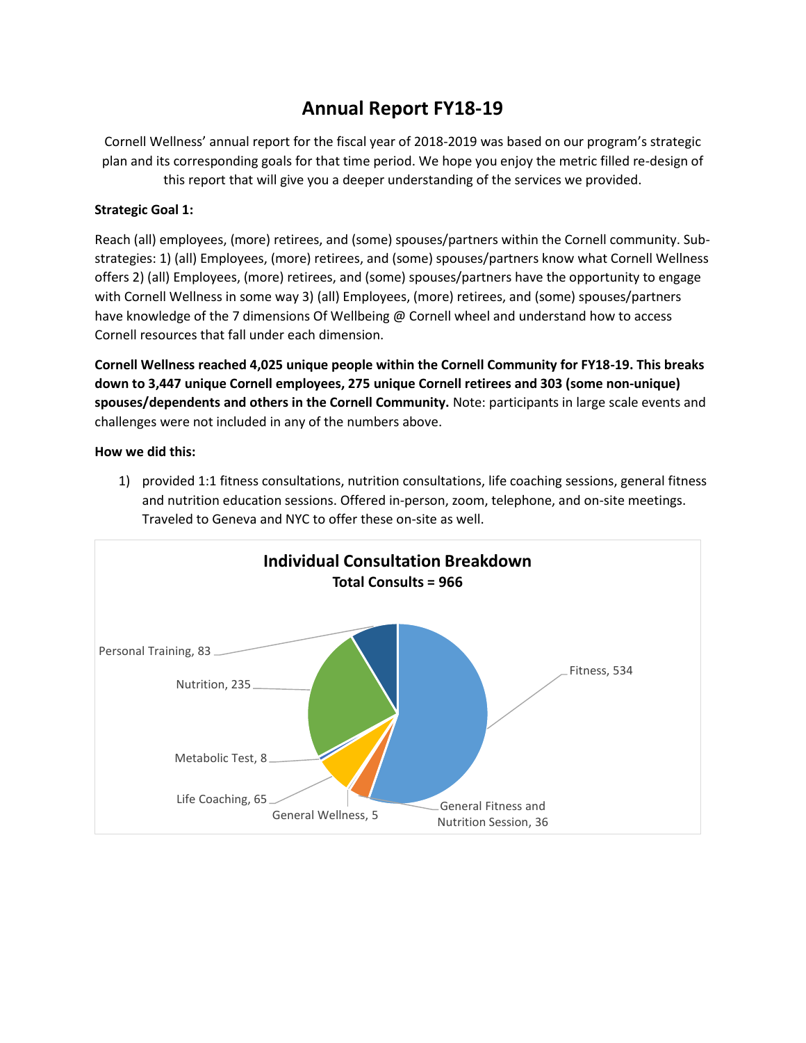# **Annual Report FY18-19**

Cornell Wellness' annual report for the fiscal year of 2018-2019 was based on our program's strategic plan and its corresponding goals for that time period. We hope you enjoy the metric filled re-design of this report that will give you a deeper understanding of the services we provided.

# **Strategic Goal 1:**

Reach (all) employees, (more) retirees, and (some) spouses/partners within the Cornell community. Substrategies: 1) (all) Employees, (more) retirees, and (some) spouses/partners know what Cornell Wellness offers 2) (all) Employees, (more) retirees, and (some) spouses/partners have the opportunity to engage with Cornell Wellness in some way 3) (all) Employees, (more) retirees, and (some) spouses/partners have knowledge of the 7 dimensions Of Wellbeing @ Cornell wheel and understand how to access Cornell resources that fall under each dimension.

**Cornell Wellness reached 4,025 unique people within the Cornell Community for FY18-19. This breaks down to 3,447 unique Cornell employees, 275 unique Cornell retirees and 303 (some non-unique) spouses/dependents and others in the Cornell Community.** Note: participants in large scale events and challenges were not included in any of the numbers above.

#### **How we did this:**

1) provided 1:1 fitness consultations, nutrition consultations, life coaching sessions, general fitness and nutrition education sessions. Offered in-person, zoom, telephone, and on-site meetings. Traveled to Geneva and NYC to offer these on-site as well.

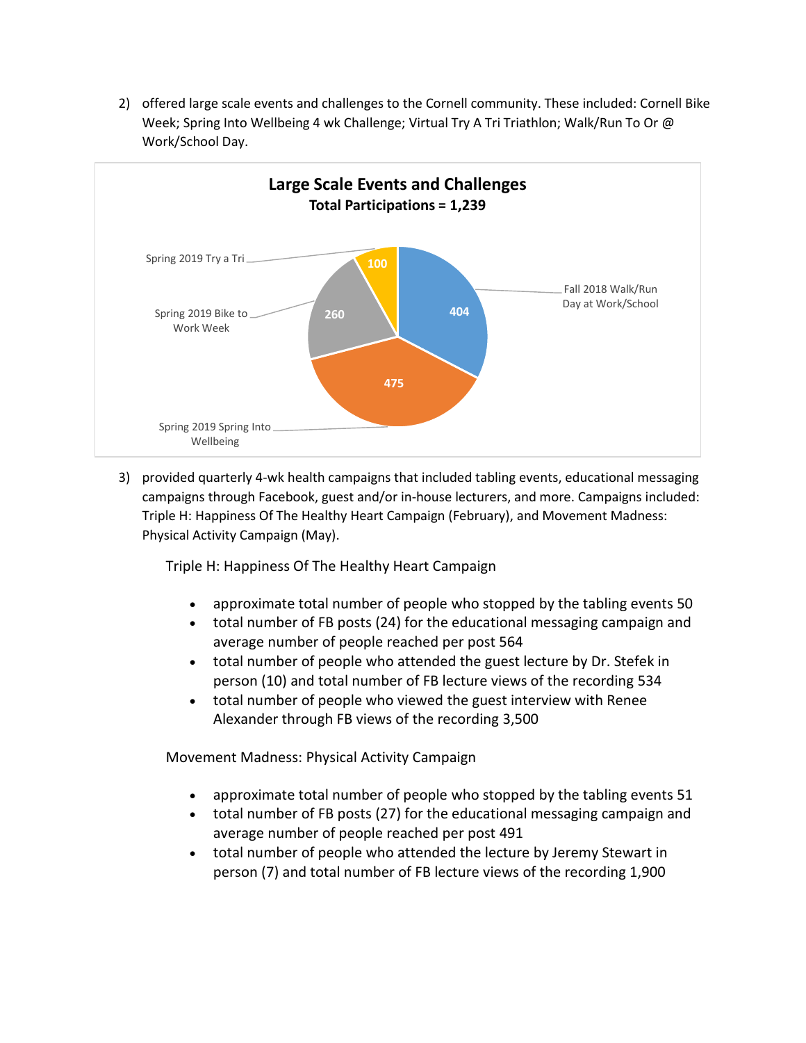2) offered large scale events and challenges to the Cornell community. These included: Cornell Bike Week; Spring Into Wellbeing 4 wk Challenge; Virtual Try A Tri Triathlon; Walk/Run To Or @ Work/School Day.



3) provided quarterly 4-wk health campaigns that included tabling events, educational messaging campaigns through Facebook, guest and/or in-house lecturers, and more. Campaigns included: Triple H: Happiness Of The Healthy Heart Campaign (February), and Movement Madness: Physical Activity Campaign (May).

Triple H: Happiness Of The Healthy Heart Campaign

- approximate total number of people who stopped by the tabling events 50
- total number of FB posts (24) for the educational messaging campaign and average number of people reached per post 564
- total number of people who attended the guest lecture by Dr. Stefek in person (10) and total number of FB lecture views of the recording 534
- total number of people who viewed the guest interview with Renee Alexander through FB views of the recording 3,500

Movement Madness: Physical Activity Campaign

- approximate total number of people who stopped by the tabling events 51
- total number of FB posts (27) for the educational messaging campaign and average number of people reached per post 491
- total number of people who attended the lecture by Jeremy Stewart in person (7) and total number of FB lecture views of the recording 1,900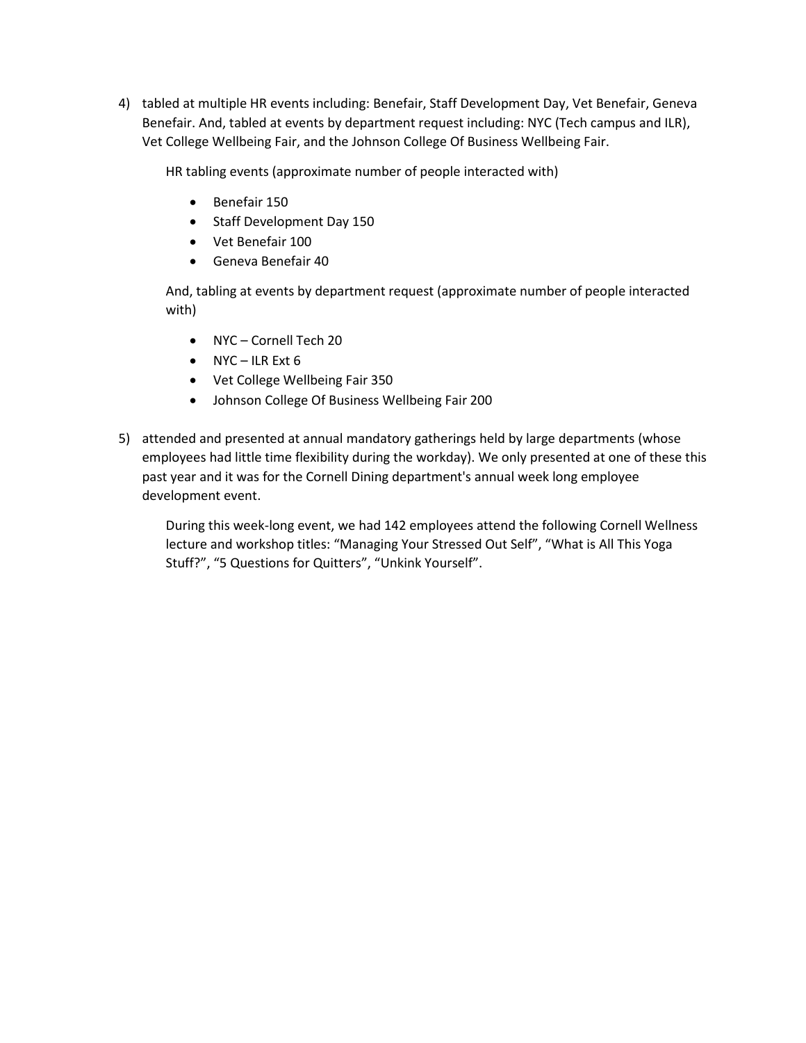4) tabled at multiple HR events including: Benefair, Staff Development Day, Vet Benefair, Geneva Benefair. And, tabled at events by department request including: NYC (Tech campus and ILR), Vet College Wellbeing Fair, and the Johnson College Of Business Wellbeing Fair.

HR tabling events (approximate number of people interacted with)

- Benefair 150
- Staff Development Day 150
- Vet Benefair 100
- Geneva Benefair 40

And, tabling at events by department request (approximate number of people interacted with)

- NYC Cornell Tech 20
- $\bullet$  NYC ILR Ext 6
- Vet College Wellbeing Fair 350
- Johnson College Of Business Wellbeing Fair 200
- 5) attended and presented at annual mandatory gatherings held by large departments (whose employees had little time flexibility during the workday). We only presented at one of these this past year and it was for the Cornell Dining department's annual week long employee development event.

During this week-long event, we had 142 employees attend the following Cornell Wellness lecture and workshop titles: "Managing Your Stressed Out Self", "What is All This Yoga Stuff?", "5 Questions for Quitters", "Unkink Yourself".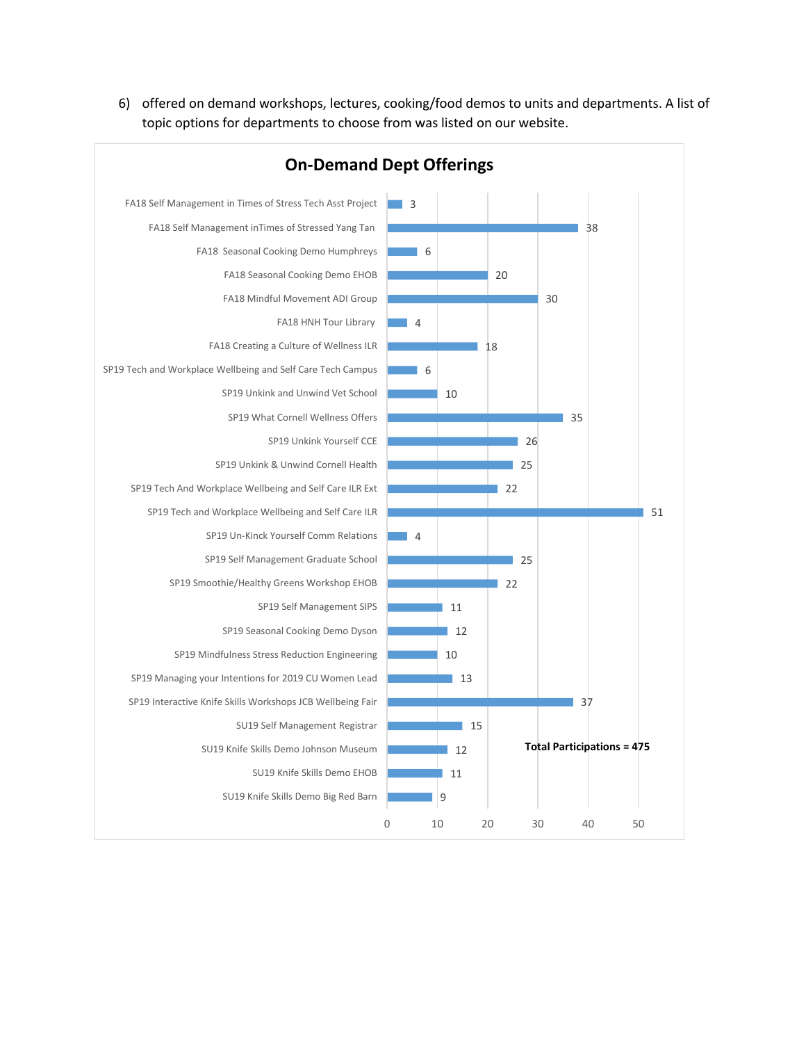6) offered on demand workshops, lectures, cooking/food demos to units and departments. A list of topic options for departments to choose from was listed on our website.

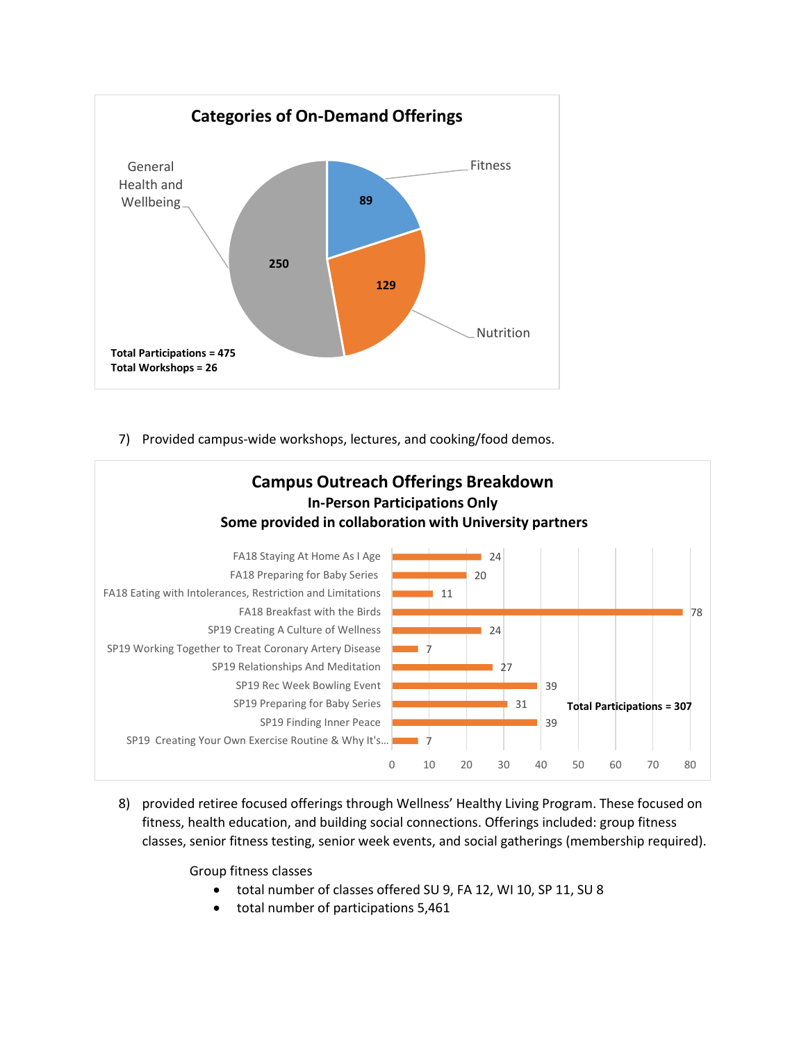

7) Provided campus-wide workshops, lectures, and cooking/food demos.



8) provided retiree focused offerings through Wellness' Healthy Living Program. These focused on fitness, health education, and building social connections. Offerings included: group fitness classes, senior fitness testing, senior week events, and social gatherings (membership required).

Group fitness classes

- total number of classes offered SU 9, FA 12, WI 10, SP 11, SU 8
- total number of participations 5,461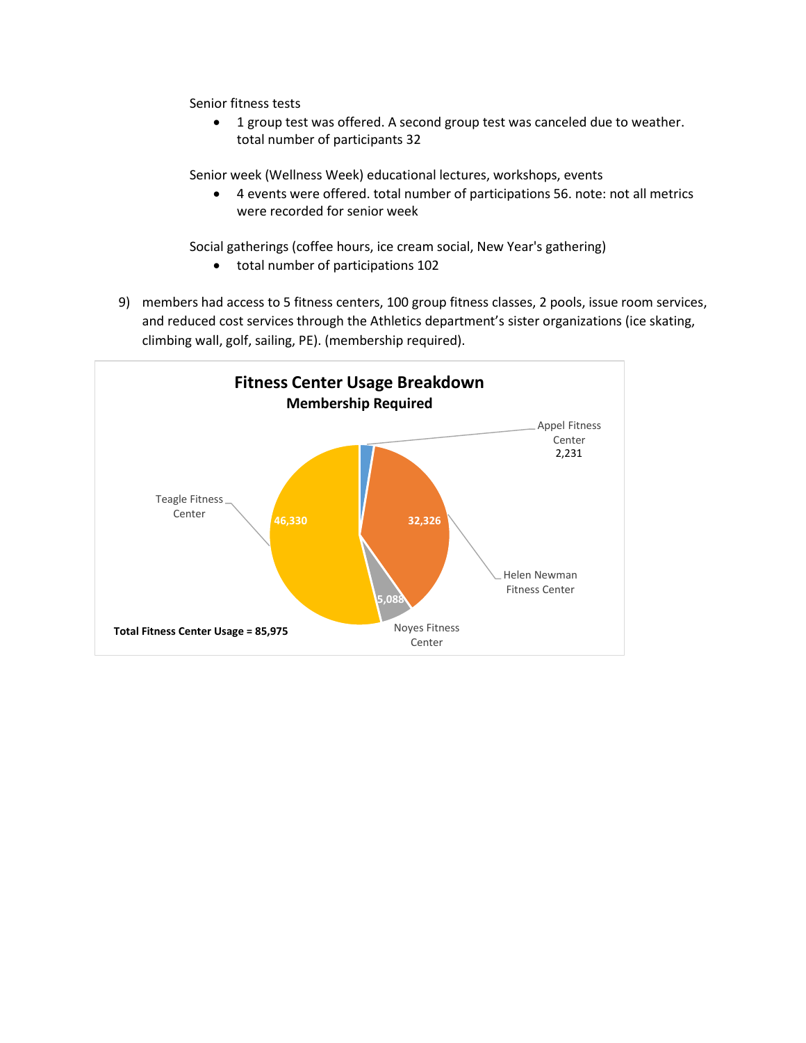Senior fitness tests

• 1 group test was offered. A second group test was canceled due to weather. total number of participants 32

Senior week (Wellness Week) educational lectures, workshops, events

 4 events were offered. total number of participations 56. note: not all metrics were recorded for senior week

Social gatherings (coffee hours, ice cream social, New Year's gathering)

- total number of participations 102
- 9) members had access to 5 fitness centers, 100 group fitness classes, 2 pools, issue room services, and reduced cost services through the Athletics department's sister organizations (ice skating, climbing wall, golf, sailing, PE). (membership required).

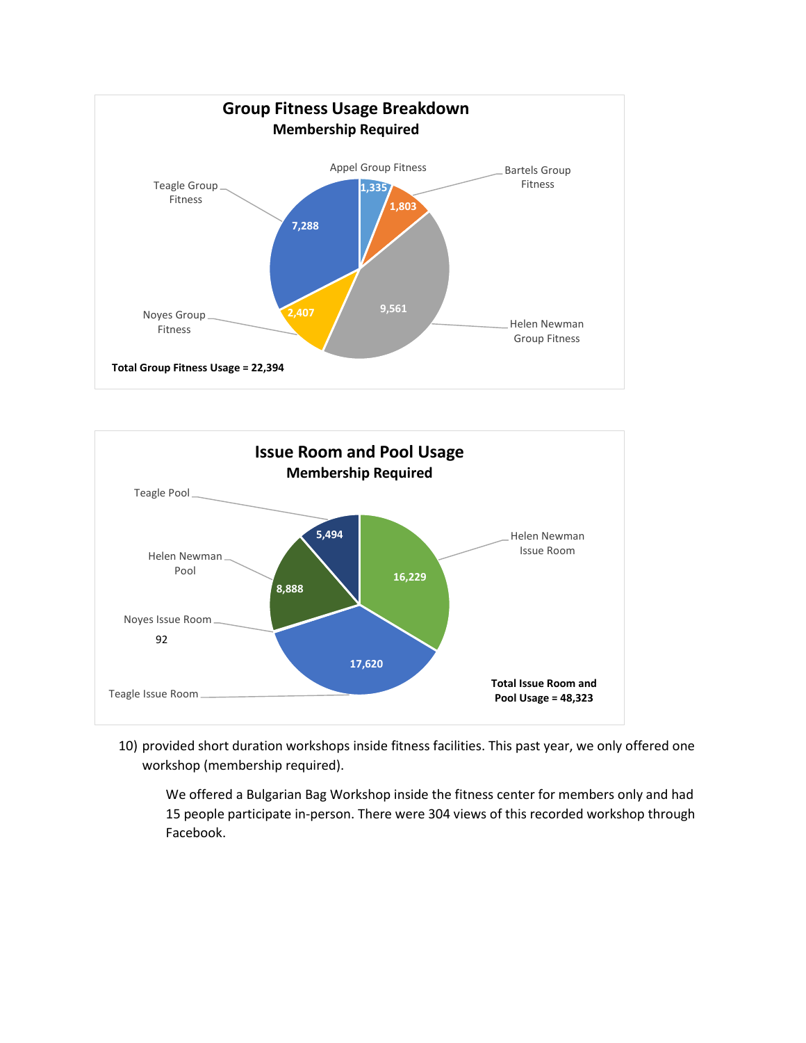



10) provided short duration workshops inside fitness facilities. This past year, we only offered one workshop (membership required).

We offered a Bulgarian Bag Workshop inside the fitness center for members only and had 15 people participate in-person. There were 304 views of this recorded workshop through Facebook.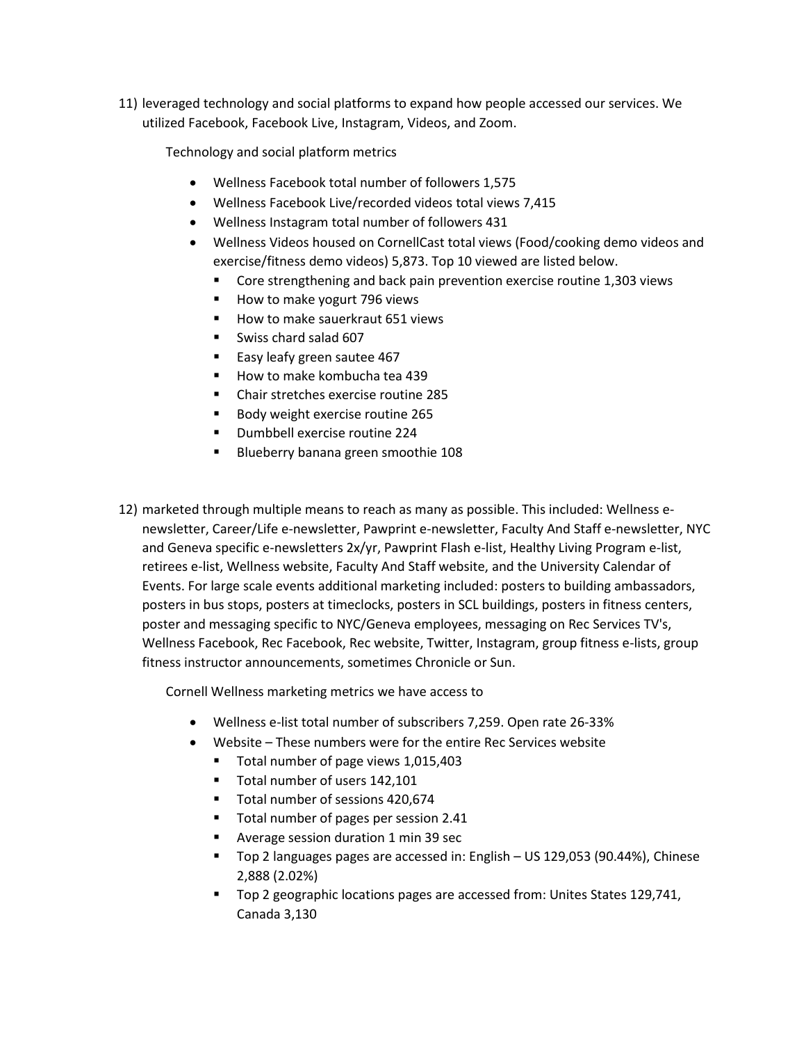11) leveraged technology and social platforms to expand how people accessed our services. We utilized Facebook, Facebook Live, Instagram, Videos, and Zoom.

Technology and social platform metrics

- Wellness Facebook total number of followers 1,575
- Wellness Facebook Live/recorded videos total views 7,415
- Wellness Instagram total number of followers 431
- Wellness Videos housed on CornellCast total views (Food/cooking demo videos and exercise/fitness demo videos) 5,873. Top 10 viewed are listed below.
	- Core strengthening and back pain prevention exercise routine 1,303 views
	- How to make yogurt 796 views
	- How to make sauerkraut 651 views
	- Swiss chard salad 607
	- Easy leafy green sautee 467
	- How to make kombucha tea 439
	- Chair stretches exercise routine 285
	- Body weight exercise routine 265
	- **Dumbbell exercise routine 224**
	- Blueberry banana green smoothie 108
- 12) marketed through multiple means to reach as many as possible. This included: Wellness enewsletter, Career/Life e-newsletter, Pawprint e-newsletter, Faculty And Staff e-newsletter, NYC and Geneva specific e-newsletters 2x/yr, Pawprint Flash e-list, Healthy Living Program e-list, retirees e-list, Wellness website, Faculty And Staff website, and the University Calendar of Events. For large scale events additional marketing included: posters to building ambassadors, posters in bus stops, posters at timeclocks, posters in SCL buildings, posters in fitness centers, poster and messaging specific to NYC/Geneva employees, messaging on Rec Services TV's, Wellness Facebook, Rec Facebook, Rec website, Twitter, Instagram, group fitness e-lists, group fitness instructor announcements, sometimes Chronicle or Sun.

Cornell Wellness marketing metrics we have access to

- Wellness e-list total number of subscribers 7,259. Open rate 26-33%
- Website These numbers were for the entire Rec Services website
	- Total number of page views 1,015,403
	- Total number of users 142,101
	- Total number of sessions 420,674
	- Total number of pages per session 2.41
	- **Average session duration 1 min 39 sec**
	- Top 2 languages pages are accessed in: English US 129,053 (90.44%), Chinese 2,888 (2.02%)
	- Top 2 geographic locations pages are accessed from: Unites States 129,741, Canada 3,130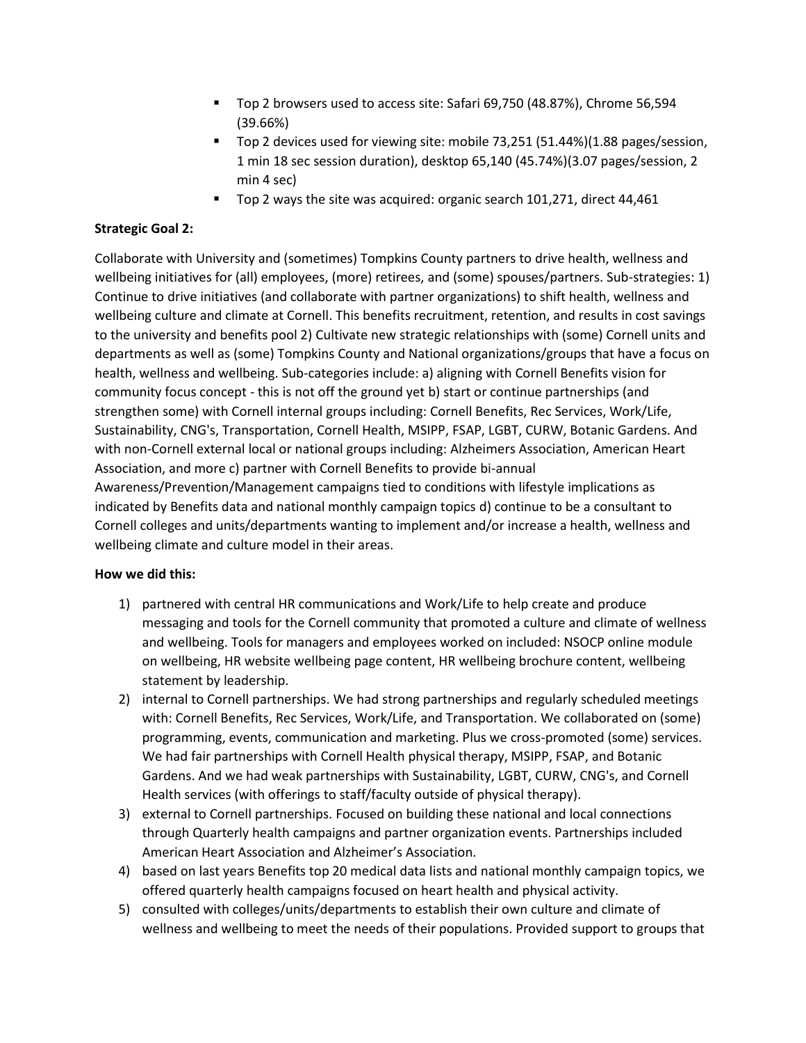- Top 2 browsers used to access site: Safari 69,750 (48.87%), Chrome 56,594 (39.66%)
- Top 2 devices used for viewing site: mobile 73,251 (51.44%)(1.88 pages/session, 1 min 18 sec session duration), desktop 65,140 (45.74%)(3.07 pages/session, 2 min 4 sec)
- Top 2 ways the site was acquired: organic search 101,271, direct 44,461

# **Strategic Goal 2:**

Collaborate with University and (sometimes) Tompkins County partners to drive health, wellness and wellbeing initiatives for (all) employees, (more) retirees, and (some) spouses/partners. Sub-strategies: 1) Continue to drive initiatives (and collaborate with partner organizations) to shift health, wellness and wellbeing culture and climate at Cornell. This benefits recruitment, retention, and results in cost savings to the university and benefits pool 2) Cultivate new strategic relationships with (some) Cornell units and departments as well as (some) Tompkins County and National organizations/groups that have a focus on health, wellness and wellbeing. Sub-categories include: a) aligning with Cornell Benefits vision for community focus concept - this is not off the ground yet b) start or continue partnerships (and strengthen some) with Cornell internal groups including: Cornell Benefits, Rec Services, Work/Life, Sustainability, CNG's, Transportation, Cornell Health, MSIPP, FSAP, LGBT, CURW, Botanic Gardens. And with non-Cornell external local or national groups including: Alzheimers Association, American Heart Association, and more c) partner with Cornell Benefits to provide bi-annual Awareness/Prevention/Management campaigns tied to conditions with lifestyle implications as indicated by Benefits data and national monthly campaign topics d) continue to be a consultant to Cornell colleges and units/departments wanting to implement and/or increase a health, wellness and wellbeing climate and culture model in their areas.

## **How we did this:**

- 1) partnered with central HR communications and Work/Life to help create and produce messaging and tools for the Cornell community that promoted a culture and climate of wellness and wellbeing. Tools for managers and employees worked on included: NSOCP online module on wellbeing, HR website wellbeing page content, HR wellbeing brochure content, wellbeing statement by leadership.
- 2) internal to Cornell partnerships. We had strong partnerships and regularly scheduled meetings with: Cornell Benefits, Rec Services, Work/Life, and Transportation. We collaborated on (some) programming, events, communication and marketing. Plus we cross-promoted (some) services. We had fair partnerships with Cornell Health physical therapy, MSIPP, FSAP, and Botanic Gardens. And we had weak partnerships with Sustainability, LGBT, CURW, CNG's, and Cornell Health services (with offerings to staff/faculty outside of physical therapy).
- 3) external to Cornell partnerships. Focused on building these national and local connections through Quarterly health campaigns and partner organization events. Partnerships included American Heart Association and Alzheimer's Association.
- 4) based on last years Benefits top 20 medical data lists and national monthly campaign topics, we offered quarterly health campaigns focused on heart health and physical activity.
- 5) consulted with colleges/units/departments to establish their own culture and climate of wellness and wellbeing to meet the needs of their populations. Provided support to groups that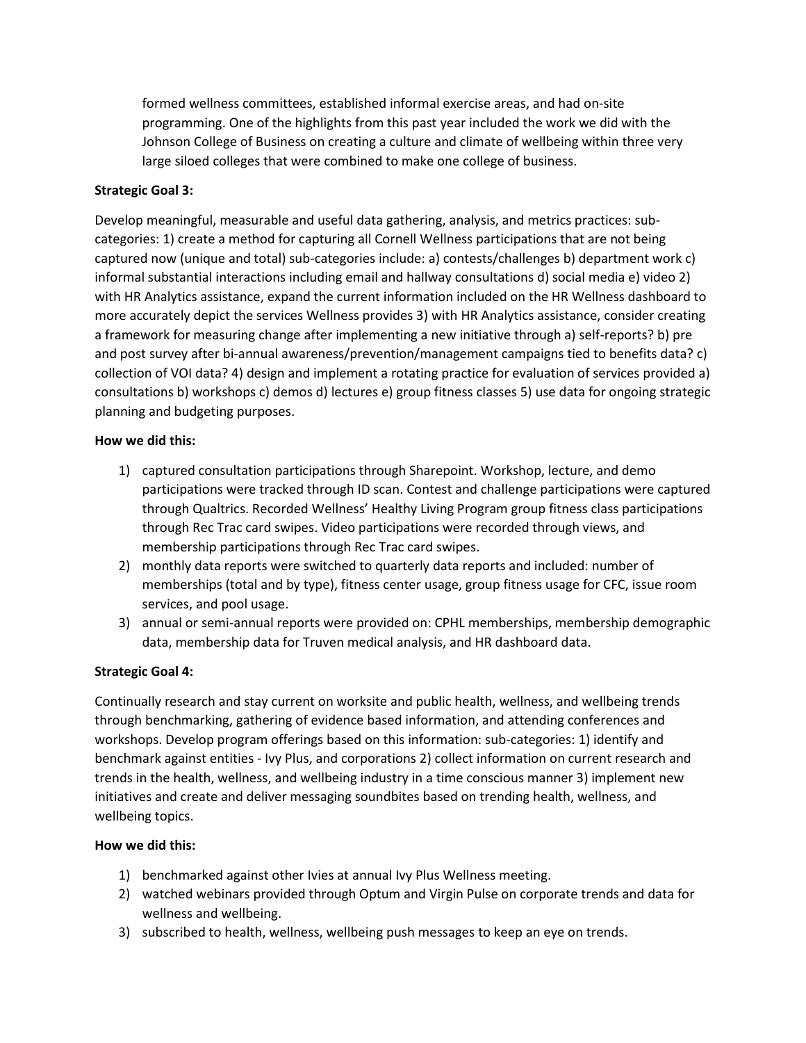formed wellness committees, established informal exercise areas, and had on-site programming. One of the highlights from this past year included the work we did with the Johnson College of Business on creating a culture and climate of wellbeing within three very large siloed colleges that were combined to make one college of business.

## **Strategic Goal 3:**

Develop meaningful, measurable and useful data gathering, analysis, and metrics practices: subcategories: 1) create a method for capturing all Cornell Wellness participations that are not being captured now (unique and total) sub-categories include: a) contests/challenges b) department work c) informal substantial interactions including email and hallway consultations d) social media e) video 2) with HR Analytics assistance, expand the current information included on the HR Wellness dashboard to more accurately depict the services Wellness provides 3) with HR Analytics assistance, consider creating a framework for measuring change after implementing a new initiative through a) self-reports? b) pre and post survey after bi-annual awareness/prevention/management campaigns tied to benefits data? c) collection of VOI data? 4) design and implement a rotating practice for evaluation of services provided a) consultations b) workshops c) demos d) lectures e) group fitness classes 5) use data for ongoing strategic planning and budgeting purposes.

## **How we did this:**

- 1) captured consultation participations through Sharepoint. Workshop, lecture, and demo participations were tracked through ID scan. Contest and challenge participations were captured through Qualtrics. Recorded Wellness' Healthy Living Program group fitness class participations through Rec Trac card swipes. Video participations were recorded through views, and membership participations through Rec Trac card swipes.
- 2) monthly data reports were switched to quarterly data reports and included: number of memberships (total and by type), fitness center usage, group fitness usage for CFC, issue room services, and pool usage.
- 3) annual or semi-annual reports were provided on: CPHL memberships, membership demographic data, membership data for Truven medical analysis, and HR dashboard data.

# **Strategic Goal 4:**

Continually research and stay current on worksite and public health, wellness, and wellbeing trends through benchmarking, gathering of evidence based information, and attending conferences and workshops. Develop program offerings based on this information: sub-categories: 1) identify and benchmark against entities - Ivy Plus, and corporations 2) collect information on current research and trends in the health, wellness, and wellbeing industry in a time conscious manner 3) implement new initiatives and create and deliver messaging soundbites based on trending health, wellness, and wellbeing topics.

## **How we did this:**

- 1) benchmarked against other Ivies at annual Ivy Plus Wellness meeting.
- 2) watched webinars provided through Optum and Virgin Pulse on corporate trends and data for wellness and wellbeing.
- 3) subscribed to health, wellness, wellbeing push messages to keep an eye on trends.